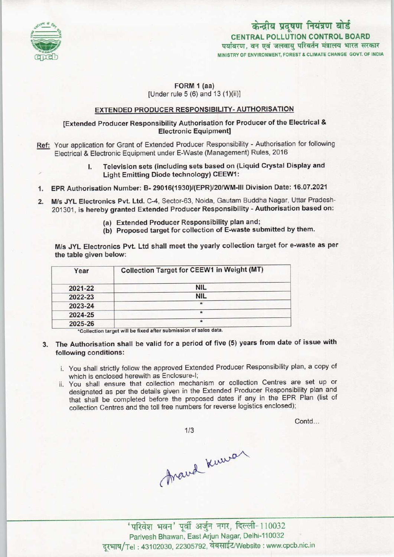

# केन्द्रीय प्रदूषण नियंत्रण बोर्ड CENTRAL POLLUTION CONTROL BOARD पर्यावरण, वन एवं जलवायु परिवर्तन मंत्रालय भारत सरकार MINISTRY OF ENVIRONMENT, FOREST& CLIMATE CHANGE GOVT. OF INDIA

Contd...

## FORM 1 (aa) [Under rule 5 (6) and 13 (1)(ii)]

## EXTENDED PRODUCER RESPONSIBILITY- AUTHORISATION

## [Extended Producer Responsibility Authorisation for Producer of the Electrical & Electronic Equipment]

Ref: Your application for Grant of Extended Producer Responsibility - Authorisation for following Electrical & Electronic Equipment under E-Waste (Management) Rules, 2016

## I. Television sets (including sets based on (Liquid Crystal Display and Light Emitting Diode technology) CEEW1:

- 1.EPR Authorisation Number: B- 29016(1930)/(EPR)/20/WM-111 Division Date: 16.07.2021
- 2.M/sJYL Electronics Pvt. Ltd. C-4, Sector-63, Noida, Gautam Buddha Nagar, Uttar Pradesh-201301, is hereby granted Extended Producer Responsibility - Authorisation based on:
	- (a)Extended Producer Responsibility plan and;
	- (b) Proposed target for collection of E-waste submitted by them.

M/s JYL Electronics Pvt. Ltd shall meet the yearly collection target for e-waste as per the table given below:

| Year    | Collection Target for CEEW1 in Weight (MT) |
|---------|--------------------------------------------|
| 2021-22 | <b>NIL</b>                                 |
| 2022-23 | <b>NIL</b>                                 |
| 2023-24 | $\star$                                    |
| 2024-25 |                                            |
| 2025-26 |                                            |

\*Collection target will be fixed after submission of sales data.

- 3. The Authorisation shall be valid for a period of five (5) years from date of issue with following conditions:
	- i. You shall strictly follow the approved Extended Producer Responsibility plan, a copy of which is enclosed herewith as Enclosure-I;
	- ii. You shall ensure that collection mechanism or collection Centres are set up or designated as per the details given in the Extended Producer Responsibility plan and that shall be completed before the proposed dates if any in the EPR Plan (list of collection Centres and the toll free numbers for reverse logistics enclosed);

 $1/3$ 

Arand Kuman

.<br>सन' पूर्वी अर्जुन नगर, दिल्ली-110032 Parivesh Bhawan, East Arjun Nagar, Delhi-110032 दरभाष/Tel: 43102030, 22305792, वेबसाईट/Website : www.cpcb.nic.in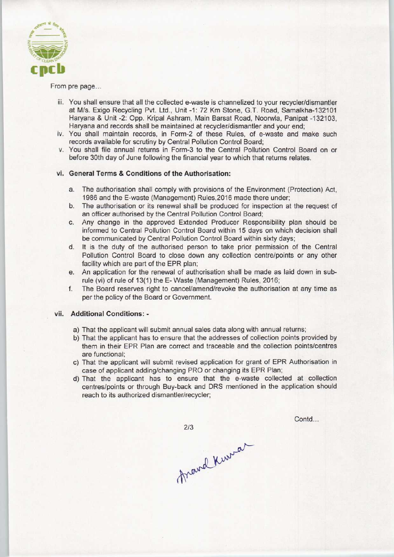

From pre page...

- iii. You shall ensure that all the collected e-waste is channelized to your recycler/dismantler at M/s. Exigo Recycling Pvt. Ltd., Unit -1: 72 Km Stone, G.T. Road, Samalkha-132101 Haryana & Unit -2: Opp. Kripal Ashram, Main Barsat Road, Noorwla, Panipat -132103, Haryana and records shall be maintained at recycler/dismantler and your end;
- iv. You shall maintain records, in Form-2 of these Rules, of e-waste and make such records available for scrutiny by Central Pollution Control Board;
- v. You shall file annual returns in Form-3 to the Central Pollution Control Board on or before 30th day of June following the financial year to which that returns relates.

#### vi. General Terms & Conditions of the Authorisation:

- a. The authorisation shall comply with provisions of the Environment (Protection) Act, 1986 and the E-waste (Management) Rules,2016 made there under;
- b.The authorisation or its renewal shall be produced for inspection at the request of an officer authorised by the Central Pollution Control Board;
- c.Any change in the approved Extended Producer Responsibility plan should be informed to Central Pollution Control Board within 15 days on which decision shall be communicated by Central Pollution Control Board within sixty days;
- d. It is the duty of the authorised person to take prior permission of the Central Pollution Control Board to close down any collection centre/points or any other facility which are part of the EPR plan;
- e.An application for the renewal of authorisation shall be made as laid down in subrule (vi) of rule of 13(1) the E- Waste (Management) Rules, 2016;
- f.The Board reserves right to cancel/amend/revoke the authorisation at any time as per the policy of the Board or Government.

#### vii. Additional Conditions:-

- a) That the applicant will submit annual sales data along with annual returns;
- b) That the applicant has to ensure that the addresses of collection points provided by them in their EPR Plan are correct and traceable and the collection points/centres are functional;
- c) That the applicant will submit revised application for grant of EPR Authorisation in case of applicant adding/changing PRO or changing its EPR Plan;
- d)That the applicant has to ensure that the e-waste collected at collection centres/points or through Buy-back and DRS mentioned in the application should reach to its authorized dismantler/recycler;

frand Kurra

 $2/3$ 

Contd...